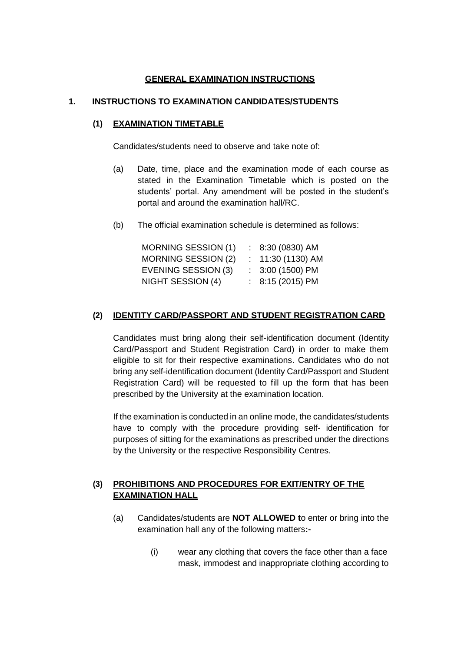## **GENERAL EXAMINATION INSTRUCTIONS**

#### **1. INSTRUCTIONS TO EXAMINATION CANDIDATES/STUDENTS**

#### **(1) EXAMINATION TIMETABLE**

Candidates/students need to observe and take note of:

- (a) Date, time, place and the examination mode of each course as stated in the Examination Timetable which is posted on the students' portal. Any amendment will be posted in the student's portal and around the examination hall/RC.
- (b) The official examination schedule is determined as follows:

| <b>MORNING SESSION (1)</b> | $: 8:30(0830)$ AM  |
|----------------------------|--------------------|
| MORNING SESSION (2)        | $: 11:30(1130)$ AM |
| EVENING SESSION (3)        | $: 3:00(1500)$ PM  |
| NIGHT SESSION (4)          | $: 8:15(2015)$ PM  |

#### **(2) IDENTITY CARD/PASSPORT AND STUDENT REGISTRATION CARD**

Candidates must bring along their self-identification document (Identity Card/Passport and Student Registration Card) in order to make them eligible to sit for their respective examinations. Candidates who do not bring any self-identification document (Identity Card/Passport and Student Registration Card) will be requested to fill up the form that has been prescribed by the University at the examination location.

If the examination is conducted in an online mode, the candidates/students have to comply with the procedure providing self- identification for purposes of sitting for the examinations as prescribed under the directions by the University or the respective Responsibility Centres.

## **(3) PROHIBITIONS AND PROCEDURES FOR EXIT/ENTRY OF THE EXAMINATION HALL**

- (a) Candidates/students are **NOT ALLOWED t**o enter or bring into the examination hall any of the following matters**:-**
	- (i) wear any clothing that covers the face other than a face mask, immodest and inappropriate clothing according to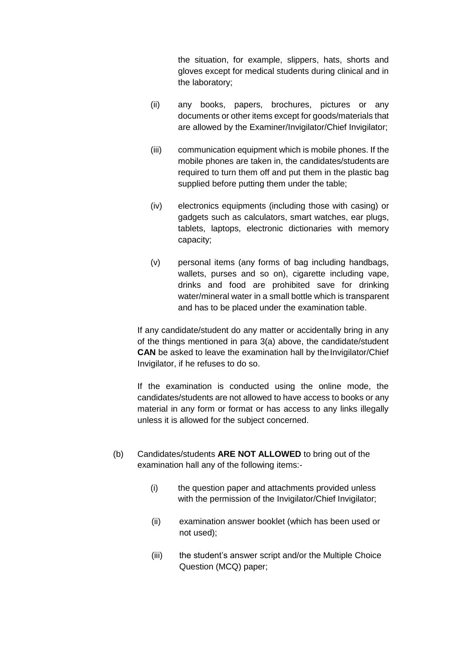the situation, for example, slippers, hats, shorts and gloves except for medical students during clinical and in the laboratory;

- (ii) any books, papers, brochures, pictures or any documents or other items except for goods/materials that are allowed by the Examiner/Invigilator/Chief Invigilator;
- (iii) communication equipment which is mobile phones. If the mobile phones are taken in, the candidates/students are required to turn them off and put them in the plastic bag supplied before putting them under the table;
- (iv) electronics equipments (including those with casing) or gadgets such as calculators, smart watches, ear plugs, tablets, laptops, electronic dictionaries with memory capacity;
- (v) personal items (any forms of bag including handbags, wallets, purses and so on), cigarette including vape, drinks and food are prohibited save for drinking water/mineral water in a small bottle which is transparent and has to be placed under the examination table.

If any candidate/student do any matter or accidentally bring in any of the things mentioned in para 3(a) above, the candidate/student **CAN** be asked to leave the examination hall by the Invigilator/Chief Invigilator, if he refuses to do so.

If the examination is conducted using the online mode, the candidates/students are not allowed to have access to books or any material in any form or format or has access to any links illegally unless it is allowed for the subject concerned.

- (b) Candidates/students **ARE NOT ALLOWED** to bring out of the examination hall any of the following items:-
	- (i) the question paper and attachments provided unless with the permission of the Invigilator/Chief Invigilator;
	- (ii) examination answer booklet (which has been used or not used);
	- (iii) the student's answer script and/or the Multiple Choice Question (MCQ) paper;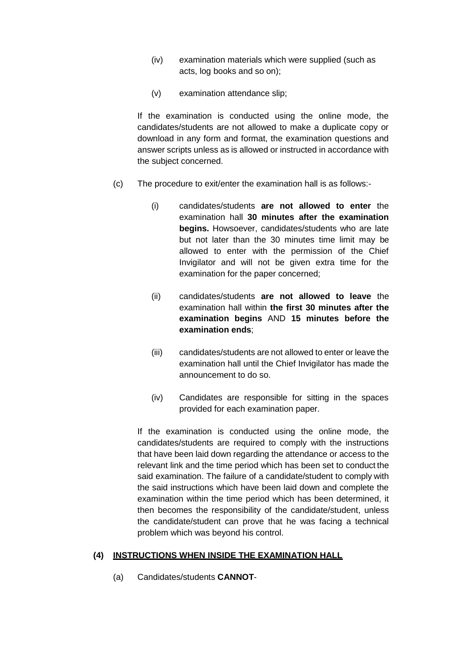- (iv) examination materials which were supplied (such as acts, log books and so on);
- (v) examination attendance slip;

If the examination is conducted using the online mode, the candidates/students are not allowed to make a duplicate copy or download in any form and format, the examination questions and answer scripts unless as is allowed or instructed in accordance with the subject concerned.

- (c) The procedure to exit/enter the examination hall is as follows:-
	- (i) candidates/students **are not allowed to enter** the examination hall **30 minutes after the examination begins.** Howsoever, candidates/students who are late but not later than the 30 minutes time limit may be allowed to enter with the permission of the Chief Invigilator and will not be given extra time for the examination for the paper concerned;
	- (ii) candidates/students **are not allowed to leave** the examination hall within **the first 30 minutes after the examination begins** AND **15 minutes before the examination ends**;
	- (iii) candidates/students are not allowed to enter or leave the examination hall until the Chief Invigilator has made the announcement to do so.
	- (iv) Candidates are responsible for sitting in the spaces provided for each examination paper.

If the examination is conducted using the online mode, the candidates/students are required to comply with the instructions that have been laid down regarding the attendance or access to the relevant link and the time period which has been set to conduct the said examination. The failure of a candidate/student to comply with the said instructions which have been laid down and complete the examination within the time period which has been determined, it then becomes the responsibility of the candidate/student, unless the candidate/student can prove that he was facing a technical problem which was beyond his control.

#### **(4) INSTRUCTIONS WHEN INSIDE THE EXAMINATION HALL**

(a) Candidates/students **CANNOT**-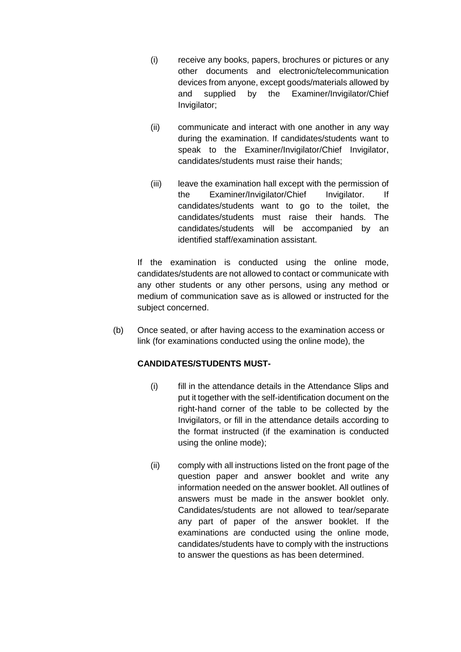- (i) receive any books, papers, brochures or pictures or any other documents and electronic/telecommunication devices from anyone, except goods/materials allowed by and supplied by the Examiner/Invigilator/Chief Invigilator;
- (ii) communicate and interact with one another in any way during the examination. If candidates/students want to speak to the Examiner/Invigilator/Chief Invigilator, candidates/students must raise their hands;
- (iii) leave the examination hall except with the permission of the Examiner/Invigilator/Chief Invigilator. If candidates/students want to go to the toilet, the candidates/students must raise their hands. The candidates/students will be accompanied by an identified staff/examination assistant.

If the examination is conducted using the online mode, candidates/students are not allowed to contact or communicate with any other students or any other persons, using any method or medium of communication save as is allowed or instructed for the subject concerned.

(b) Once seated, or after having access to the examination access or link (for examinations conducted using the online mode), the

## **CANDIDATES/STUDENTS MUST-**

- (i) fill in the attendance details in the Attendance Slips and put it together with the self-identification document on the right-hand corner of the table to be collected by the Invigilators, or fill in the attendance details according to the format instructed (if the examination is conducted using the online mode);
- (ii) comply with all instructions listed on the front page of the question paper and answer booklet and write any information needed on the answer booklet. All outlines of answers must be made in the answer booklet only. Candidates/students are not allowed to tear/separate any part of paper of the answer booklet. If the examinations are conducted using the online mode, candidates/students have to comply with the instructions to answer the questions as has been determined.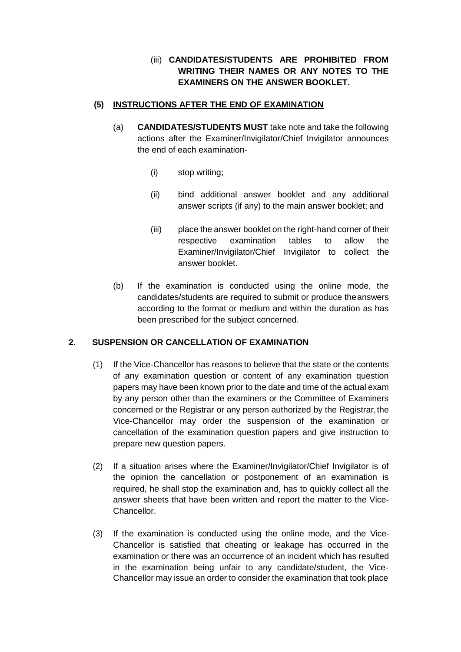# (iii) **CANDIDATES/STUDENTS ARE PROHIBITED FROM WRITING THEIR NAMES OR ANY NOTES TO THE EXAMINERS ON THE ANSWER BOOKLET.**

## **(5) INSTRUCTIONS AFTER THE END OF EXAMINATION**

- (a) **CANDIDATES/STUDENTS MUST** take note and take the following actions after the Examiner/Invigilator/Chief Invigilator announces the end of each examination-
	- (i) stop writing;
	- (ii) bind additional answer booklet and any additional answer scripts (if any) to the main answer booklet; and
	- (iii) place the answer booklet on the right-hand corner of their respective examination tables to allow the Examiner/Invigilator/Chief Invigilator to collect the answer booklet.
- (b) If the examination is conducted using the online mode, the candidates/students are required to submit or produce theanswers according to the format or medium and within the duration as has been prescribed for the subject concerned.

## **2. SUSPENSION OR CANCELLATION OF EXAMINATION**

- (1) If the Vice-Chancellor has reasons to believe that the state or the contents of any examination question or content of any examination question papers may have been known prior to the date and time of the actual exam by any person other than the examiners or the Committee of Examiners concerned or the Registrar or any person authorized by the Registrar,the Vice-Chancellor may order the suspension of the examination or cancellation of the examination question papers and give instruction to prepare new question papers.
- (2) If a situation arises where the Examiner/Invigilator/Chief Invigilator is of the opinion the cancellation or postponement of an examination is required, he shall stop the examination and, has to quickly collect all the answer sheets that have been written and report the matter to the Vice-Chancellor.
- (3) If the examination is conducted using the online mode, and the Vice-Chancellor is satisfied that cheating or leakage has occurred in the examination or there was an occurrence of an incident which has resulted in the examination being unfair to any candidate/student, the Vice-Chancellor may issue an order to consider the examination that took place